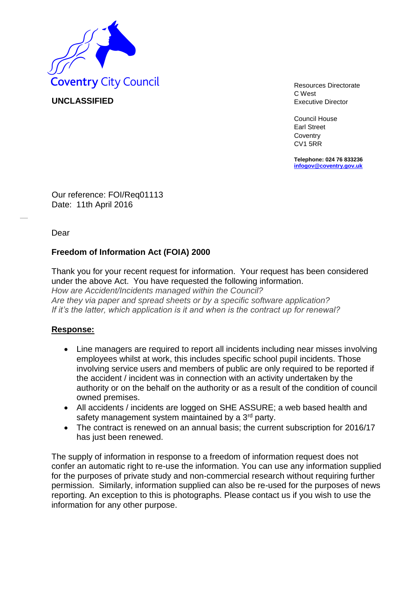

**UNCLASSIFIED** 

C West Executive Director

Council House Earl Street **Coventry** CV1 5RR

**Telephone: 024 76 833236 [infogov@coventry.gov.uk](mailto:infogov@coventry.gov.uk)**

Our reference: FOI/Req01113 Date: 11th April 2016

Dear

## **Freedom of Information Act (FOIA) 2000**

Thank you for your recent request for information. Your request has been considered under the above Act. You have requested the following information. *How are Accident/Incidents managed within the Council? Are they via paper and spread sheets or by a specific software application? If it's the latter, which application is it and when is the contract up for renewal?*

## **Response:**

- Line managers are required to report all incidents including near misses involving employees whilst at work, this includes specific school pupil incidents. Those involving service users and members of public are only required to be reported if the accident / incident was in connection with an activity undertaken by the authority or on the behalf on the authority or as a result of the condition of council owned premises.
- All accidents / incidents are logged on SHE ASSURE; a web based health and safety management system maintained by a 3<sup>rd</sup> party.
- The contract is renewed on an annual basis; the current subscription for 2016/17 has just been renewed.

The supply of information in response to a freedom of information request does not confer an automatic right to re-use the information. You can use any information supplied for the purposes of private study and non-commercial research without requiring further permission. Similarly, information supplied can also be re-used for the purposes of news reporting. An exception to this is photographs. Please contact us if you wish to use the information for any other purpose.